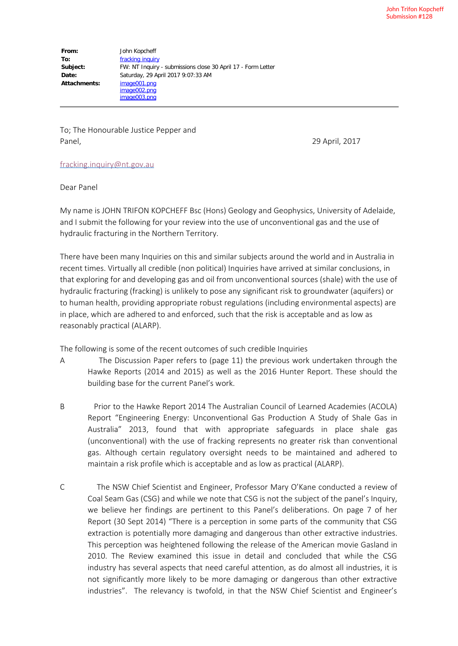**From:** John Kopcheff **To:** fracking inquiry **Subject:** FW: NT Inquiry - submissions close 30 April 17 - Form Letter **Date:** Saturday, 29 April 2017 9:07:33 AM **Attachments:** image001.png image002.png image003.png

To; The Honourable Justice Pepper and Panel, 29 April, 2017

## fracking.inquiry@nt.gov.au

Dear Panel

My name is JOHN TRIFON KOPCHEFF Bsc (Hons) Geology and Geophysics, University of Adelaide, and I submit the following for your review into the use of unconventional gas and the use of hydraulic fracturing in the Northern Territory.

There have been many Inquiries on this and similar subjects around the world and in Australia in recent times. Virtually all credible (non political) Inquiries have arrived at similar conclusions, in that exploring for and developing gas and oil from unconventional sources (shale) with the use of hydraulic fracturing (fracking) is unlikely to pose any significant risk to groundwater (aquifers) or to human health, providing appropriate robust regulations (including environmental aspects) are in place, which are adhered to and enforced, such that the risk is acceptable and as low as reasonably practical (ALARP).

The following is some of the recent outcomes of such credible Inquiries

- A The Discussion Paper refers to (page 11) the previous work undertaken through the Hawke Reports (2014 and 2015) as well as the 2016 Hunter Report. These should the building base for the current Panel's work.
- B Prior to the Hawke Report 2014 The Australian Council of Learned Academies (ACOLA) Report "Engineering Energy: Unconventional Gas Production A Study of Shale Gas in Australia" 2013, found that with appropriate safeguards in place shale gas (unconventional) with the use of fracking represents no greater risk than conventional gas. Although certain regulatory oversight needs to be maintained and adhered to maintain a risk profile which is acceptable and as low as practical (ALARP).
- C The NSW Chief Scientist and Engineer, Professor Mary O'Kane conducted a review of Coal Seam Gas (CSG) and while we note that CSG is not the subject of the panel's Inquiry, we believe her findings are pertinent to this Panel's deliberations. On page 7 of her Report (30 Sept 2014) "There is a perception in some parts of the community that CSG extraction is potentially more damaging and dangerous than other extractive industries. This perception was heightened following the release of the American movie Gasland in 2010. The Review examined this issue in detail and concluded that while the CSG industry has several aspects that need careful attention, as do almost all industries, it is not significantly more likely to be more damaging or dangerous than other extractive industries". The relevancy is twofold, in that the NSW Chief Scientist and Engineer's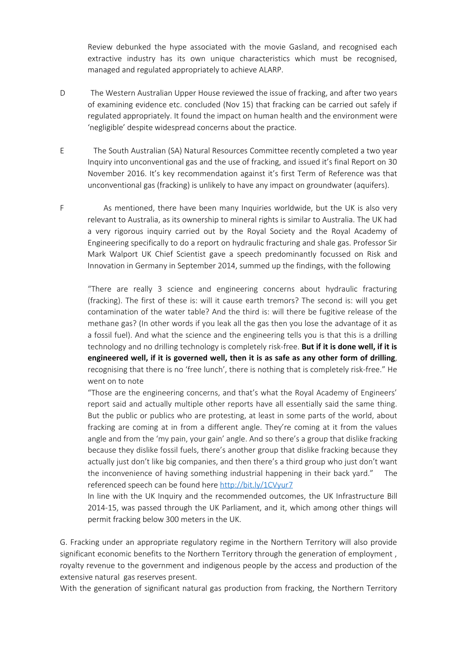Review debunked the hype associated with the movie Gasland, and recognised each extractive industry has its own unique characteristics which must be recognised, managed and regulated appropriately to achieve ALARP.

- D The Western Australian Upper House reviewed the issue of fracking, and after two years of examining evidence etc. concluded (Nov 15) that fracking can be carried out safely if regulated appropriately. It found the impact on human health and the environment were 'negligible' despite widespread concerns about the practice.
- E The South Australian (SA) Natural Resources Committee recently completed a two year Inquiry into unconventional gas and the use of fracking, and issued it's final Report on 30 November 2016. It's key recommendation against it's first Term of Reference was that unconventional gas (fracking) is unlikely to have any impact on groundwater (aquifers).
- F As mentioned, there have been many Inquiries worldwide, but the UK is also very relevant to Australia, as its ownership to mineral rights is similar to Australia. The UK had a very rigorous inquiry carried out by the Royal Society and the Royal Academy of Engineering specifically to do a report on hydraulic fracturing and shale gas. Professor Sir Mark Walport UK Chief Scientist gave a speech predominantly focussed on Risk and Innovation in Germany in September 2014, summed up the findings, with the following

"There are really 3 science and engineering concerns about hydraulic fracturing (fracking). The first of these is: will it cause earth tremors? The second is: will you get contamination of the water table? And the third is: will there be fugitive release of the methane gas? (In other words if you leak all the gas then you lose the advantage of it as a fossil fuel). And what the science and the engineering tells you is that this is a drilling technology and no drilling technology is completely risk-free. **But if it is done well, if it is engineered well, if it is governed well, then it is as safe as any other form of drilling**, recognising that there is no 'free lunch', there is nothing that is completely risk-free." He went on to note

"Those are the engineering concerns, and that's what the Royal Academy of Engineers' report said and actually multiple other reports have all essentially said the same thing. But the public or publics who are protesting, at least in some parts of the world, about fracking are coming at in from a different angle. They're coming at it from the values angle and from the 'my pain, your gain' angle. And so there's a group that dislike fracking because they dislike fossil fuels, there's another group that dislike fracking because they actually just don't like big companies, and then there's a third group who just don't want the inconvenience of having something industrial happening in their back yard." referenced speech can be found here http://bit.ly/1CVyur7

In line with the UK Inquiry and the recommended outcomes, the UK Infrastructure Bill 2014-15, was passed through the UK Parliament, and it, which among other things will permit fracking below 300 meters in the UK.

G. Fracking under an appropriate regulatory regime in the Northern Territory will also provide significant economic benefits to the Northern Territory through the generation of employment , royalty revenue to the government and indigenous people by the access and production of the extensive natural gas reserves present.

With the generation of significant natural gas production from fracking, the Northern Territory